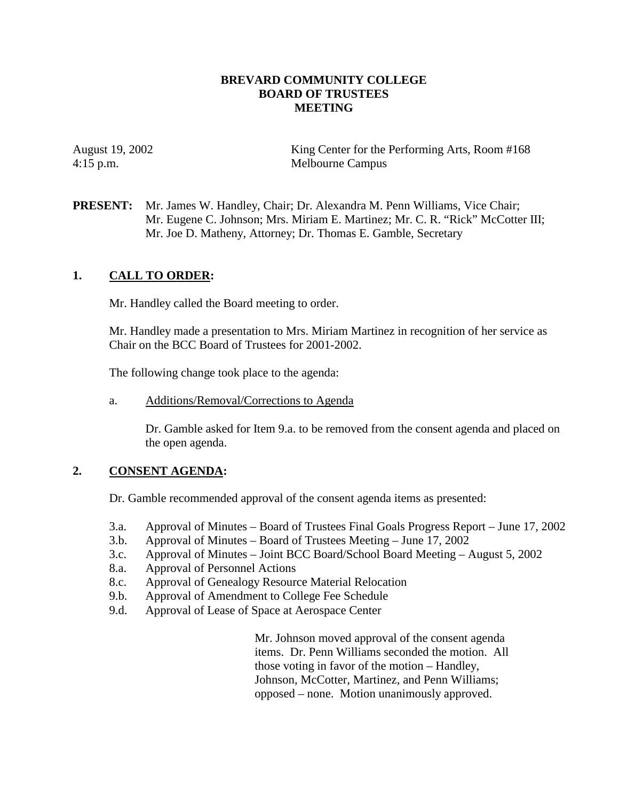### **BREVARD COMMUNITY COLLEGE BOARD OF TRUSTEES MEETING**

August 19, 2002 King Center for the Performing Arts, Room #168 4:15 p.m. Melbourne Campus

**PRESENT:** Mr. James W. Handley, Chair; Dr. Alexandra M. Penn Williams, Vice Chair; Mr. Eugene C. Johnson; Mrs. Miriam E. Martinez; Mr. C. R. "Rick" McCotter III; Mr. Joe D. Matheny, Attorney; Dr. Thomas E. Gamble, Secretary

## **1. CALL TO ORDER:**

Mr. Handley called the Board meeting to order.

Mr. Handley made a presentation to Mrs. Miriam Martinez in recognition of her service as Chair on the BCC Board of Trustees for 2001-2002.

The following change took place to the agenda:

a. Additions/Removal/Corrections to Agenda

Dr. Gamble asked for Item 9.a. to be removed from the consent agenda and placed on the open agenda.

### **2. CONSENT AGENDA:**

Dr. Gamble recommended approval of the consent agenda items as presented:

- 3.a. Approval of Minutes Board of Trustees Final Goals Progress Report June 17, 2002
- 3.b. Approval of Minutes Board of Trustees Meeting June 17, 2002
- 3.c. Approval of Minutes Joint BCC Board/School Board Meeting August 5, 2002
- 8.a. Approval of Personnel Actions
- 8.c. Approval of Genealogy Resource Material Relocation
- 9.b. Approval of Amendment to College Fee Schedule
- 9.d. Approval of Lease of Space at Aerospace Center

Mr. Johnson moved approval of the consent agenda items. Dr. Penn Williams seconded the motion. All those voting in favor of the motion – Handley, Johnson, McCotter, Martinez, and Penn Williams; opposed – none. Motion unanimously approved.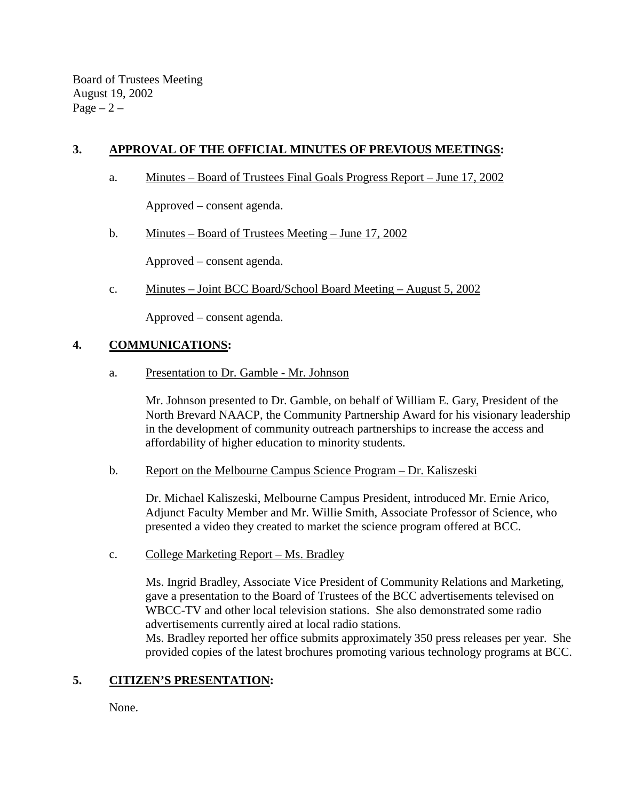Board of Trustees Meeting August 19, 2002  $Page - 2 -$ 

# **3. APPROVAL OF THE OFFICIAL MINUTES OF PREVIOUS MEETINGS:**

a. Minutes – Board of Trustees Final Goals Progress Report – June 17, 2002

Approved – consent agenda.

b. Minutes – Board of Trustees Meeting – June 17, 2002

Approved – consent agenda.

c. Minutes – Joint BCC Board/School Board Meeting – August 5, 2002

Approved – consent agenda.

## **4. COMMUNICATIONS:**

a. Presentation to Dr. Gamble - Mr. Johnson

Mr. Johnson presented to Dr. Gamble, on behalf of William E. Gary, President of the North Brevard NAACP, the Community Partnership Award for his visionary leadership in the development of community outreach partnerships to increase the access and affordability of higher education to minority students.

b. Report on the Melbourne Campus Science Program – Dr. Kaliszeski

Dr. Michael Kaliszeski, Melbourne Campus President, introduced Mr. Ernie Arico, Adjunct Faculty Member and Mr. Willie Smith, Associate Professor of Science, who presented a video they created to market the science program offered at BCC.

c. College Marketing Report – Ms. Bradley

Ms. Ingrid Bradley, Associate Vice President of Community Relations and Marketing, gave a presentation to the Board of Trustees of the BCC advertisements televised on WBCC-TV and other local television stations. She also demonstrated some radio advertisements currently aired at local radio stations.

Ms. Bradley reported her office submits approximately 350 press releases per year. She provided copies of the latest brochures promoting various technology programs at BCC.

## **5. CITIZEN'S PRESENTATION:**

None.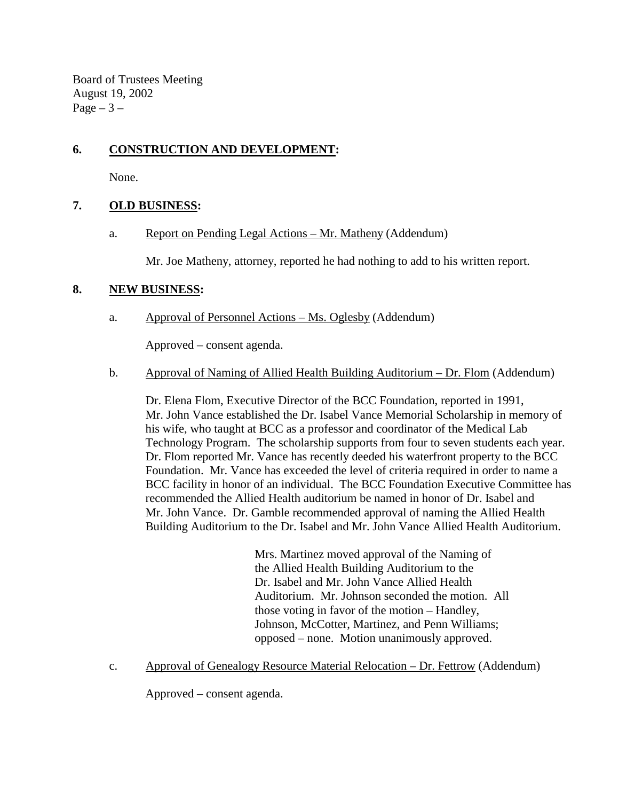Board of Trustees Meeting August 19, 2002 Page  $-3-$ 

# **6. CONSTRUCTION AND DEVELOPMENT:**

None.

## **7. OLD BUSINESS:**

a. Report on Pending Legal Actions – Mr. Matheny (Addendum)

Mr. Joe Matheny, attorney, reported he had nothing to add to his written report.

### **8. NEW BUSINESS:**

a. Approval of Personnel Actions – Ms. Oglesby (Addendum)

Approved – consent agenda.

### b. Approval of Naming of Allied Health Building Auditorium – Dr. Flom (Addendum)

 Dr. Elena Flom, Executive Director of the BCC Foundation, reported in 1991, Mr. John Vance established the Dr. Isabel Vance Memorial Scholarship in memory of his wife, who taught at BCC as a professor and coordinator of the Medical Lab Technology Program. The scholarship supports from four to seven students each year. Dr. Flom reported Mr. Vance has recently deeded his waterfront property to the BCC Foundation. Mr. Vance has exceeded the level of criteria required in order to name a BCC facility in honor of an individual. The BCC Foundation Executive Committee has recommended the Allied Health auditorium be named in honor of Dr. Isabel and Mr. John Vance. Dr. Gamble recommended approval of naming the Allied Health Building Auditorium to the Dr. Isabel and Mr. John Vance Allied Health Auditorium.

> Mrs. Martinez moved approval of the Naming of the Allied Health Building Auditorium to the Dr. Isabel and Mr. John Vance Allied Health Auditorium. Mr. Johnson seconded the motion. All those voting in favor of the motion – Handley, Johnson, McCotter, Martinez, and Penn Williams; opposed – none. Motion unanimously approved.

c. Approval of Genealogy Resource Material Relocation – Dr. Fettrow (Addendum)

Approved – consent agenda.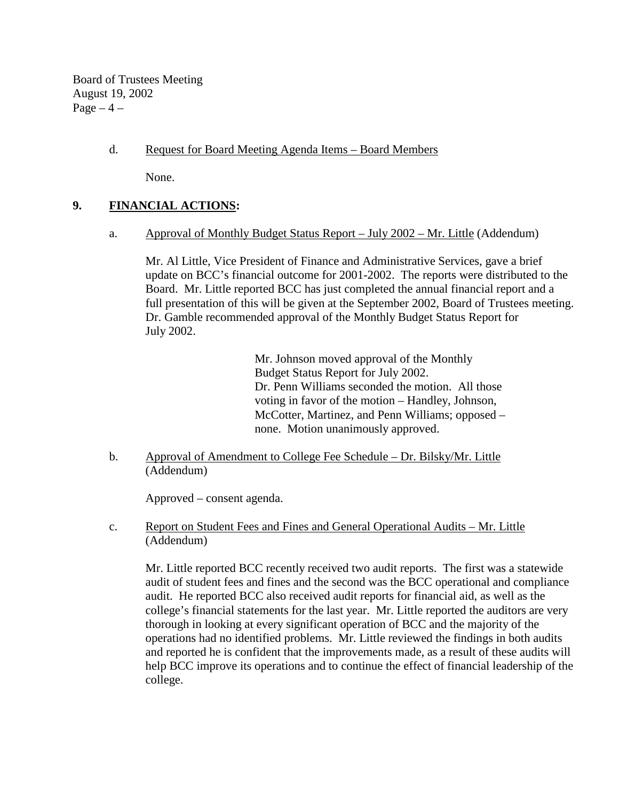Board of Trustees Meeting August 19, 2002  $Page-4$  –

## d. Request for Board Meeting Agenda Items – Board Members

None.

### **9. FINANCIAL ACTIONS:**

a. Approval of Monthly Budget Status Report – July 2002 – Mr. Little (Addendum)

 Mr. Al Little, Vice President of Finance and Administrative Services, gave a brief update on BCC's financial outcome for 2001-2002. The reports were distributed to the Board. Mr. Little reported BCC has just completed the annual financial report and a full presentation of this will be given at the September 2002, Board of Trustees meeting. Dr. Gamble recommended approval of the Monthly Budget Status Report for July 2002.

> Mr. Johnson moved approval of the Monthly Budget Status Report for July 2002. Dr. Penn Williams seconded the motion. All those voting in favor of the motion – Handley, Johnson, McCotter, Martinez, and Penn Williams; opposed – none. Motion unanimously approved.

b. Approval of Amendment to College Fee Schedule – Dr. Bilsky/Mr. Little (Addendum)

Approved – consent agenda.

c. Report on Student Fees and Fines and General Operational Audits – Mr. Little (Addendum)

 Mr. Little reported BCC recently received two audit reports. The first was a statewide audit of student fees and fines and the second was the BCC operational and compliance audit. He reported BCC also received audit reports for financial aid, as well as the college's financial statements for the last year. Mr. Little reported the auditors are very thorough in looking at every significant operation of BCC and the majority of the operations had no identified problems. Mr. Little reviewed the findings in both audits and reported he is confident that the improvements made, as a result of these audits will help BCC improve its operations and to continue the effect of financial leadership of the college.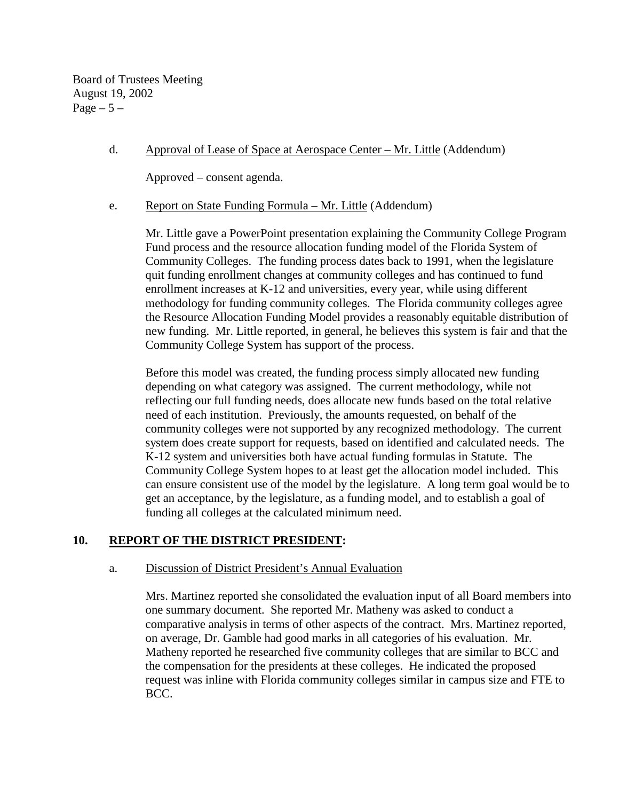Board of Trustees Meeting August 19, 2002 Page  $-5-$ 

### d. Approval of Lease of Space at Aerospace Center – Mr. Little (Addendum)

Approved – consent agenda.

#### e. Report on State Funding Formula – Mr. Little (Addendum)

 Mr. Little gave a PowerPoint presentation explaining the Community College Program Fund process and the resource allocation funding model of the Florida System of Community Colleges. The funding process dates back to 1991, when the legislature quit funding enrollment changes at community colleges and has continued to fund enrollment increases at K-12 and universities, every year, while using different methodology for funding community colleges. The Florida community colleges agree the Resource Allocation Funding Model provides a reasonably equitable distribution of new funding. Mr. Little reported, in general, he believes this system is fair and that the Community College System has support of the process.

 Before this model was created, the funding process simply allocated new funding depending on what category was assigned. The current methodology, while not reflecting our full funding needs, does allocate new funds based on the total relative need of each institution. Previously, the amounts requested, on behalf of the community colleges were not supported by any recognized methodology. The current system does create support for requests, based on identified and calculated needs. The K-12 system and universities both have actual funding formulas in Statute. The Community College System hopes to at least get the allocation model included. This can ensure consistent use of the model by the legislature. A long term goal would be to get an acceptance, by the legislature, as a funding model, and to establish a goal of funding all colleges at the calculated minimum need.

### **10. REPORT OF THE DISTRICT PRESIDENT:**

#### a. Discussion of District President's Annual Evaluation

Mrs. Martinez reported she consolidated the evaluation input of all Board members into one summary document. She reported Mr. Matheny was asked to conduct a comparative analysis in terms of other aspects of the contract. Mrs. Martinez reported, on average, Dr. Gamble had good marks in all categories of his evaluation. Mr. Matheny reported he researched five community colleges that are similar to BCC and the compensation for the presidents at these colleges. He indicated the proposed request was inline with Florida community colleges similar in campus size and FTE to BCC.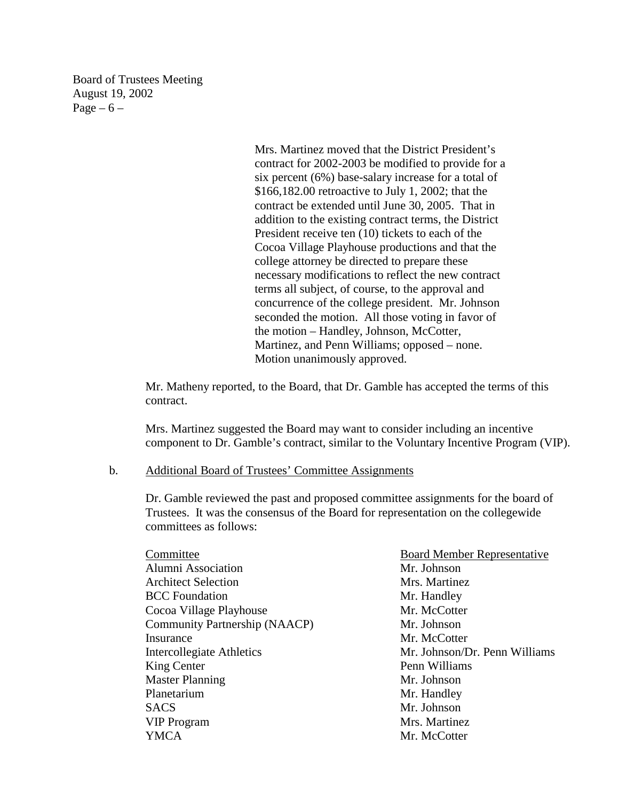Board of Trustees Meeting August 19, 2002 Page  $-6$  –

> Mrs. Martinez moved that the District President's contract for 2002-2003 be modified to provide for a six percent (6%) base-salary increase for a total of \$166,182.00 retroactive to July 1, 2002; that the contract be extended until June 30, 2005. That in addition to the existing contract terms, the District President receive ten (10) tickets to each of the Cocoa Village Playhouse productions and that the college attorney be directed to prepare these necessary modifications to reflect the new contract terms all subject, of course, to the approval and concurrence of the college president. Mr. Johnson seconded the motion. All those voting in favor of the motion – Handley, Johnson, McCotter, Martinez, and Penn Williams; opposed – none. Motion unanimously approved.

Mr. Matheny reported, to the Board, that Dr. Gamble has accepted the terms of this contract.

Mrs. Martinez suggested the Board may want to consider including an incentive component to Dr. Gamble's contract, similar to the Voluntary Incentive Program (VIP).

#### b. Additional Board of Trustees' Committee Assignments

Dr. Gamble reviewed the past and proposed committee assignments for the board of Trustees. It was the consensus of the Board for representation on the collegewide committees as follows:

| Committee                            | <b>Board Member Representative</b> |
|--------------------------------------|------------------------------------|
| Alumni Association                   | Mr. Johnson                        |
| <b>Architect Selection</b>           | Mrs. Martinez                      |
| <b>BCC</b> Foundation                | Mr. Handley                        |
| Cocoa Village Playhouse              | Mr. McCotter                       |
| <b>Community Partnership (NAACP)</b> | Mr. Johnson                        |
| Insurance                            | Mr. McCotter                       |
| Intercollegiate Athletics            | Mr. Johnson/Dr. Penn Williams      |
| King Center                          | Penn Williams                      |
| <b>Master Planning</b>               | Mr. Johnson                        |
| Planetarium                          | Mr. Handley                        |
| <b>SACS</b>                          | Mr. Johnson                        |
| <b>VIP Program</b>                   | Mrs. Martinez                      |
| YMCA                                 | Mr. McCotter                       |
|                                      |                                    |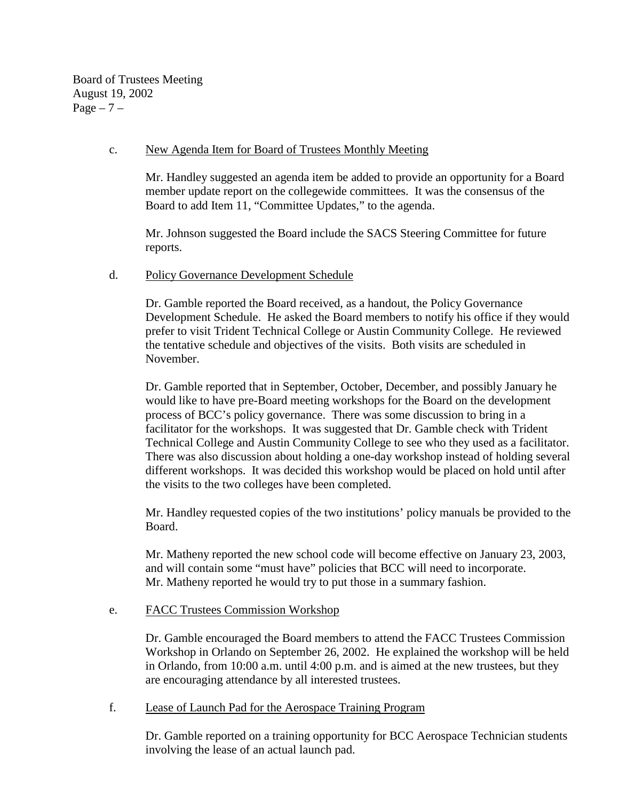Board of Trustees Meeting August 19, 2002  $Page - 7 -$ 

### c. New Agenda Item for Board of Trustees Monthly Meeting

Mr. Handley suggested an agenda item be added to provide an opportunity for a Board member update report on the collegewide committees. It was the consensus of the Board to add Item 11, "Committee Updates," to the agenda.

Mr. Johnson suggested the Board include the SACS Steering Committee for future reports.

### d. Policy Governance Development Schedule

Dr. Gamble reported the Board received, as a handout, the Policy Governance Development Schedule. He asked the Board members to notify his office if they would prefer to visit Trident Technical College or Austin Community College. He reviewed the tentative schedule and objectives of the visits. Both visits are scheduled in November.

Dr. Gamble reported that in September, October, December, and possibly January he would like to have pre-Board meeting workshops for the Board on the development process of BCC's policy governance. There was some discussion to bring in a facilitator for the workshops. It was suggested that Dr. Gamble check with Trident Technical College and Austin Community College to see who they used as a facilitator. There was also discussion about holding a one-day workshop instead of holding several different workshops. It was decided this workshop would be placed on hold until after the visits to the two colleges have been completed.

Mr. Handley requested copies of the two institutions' policy manuals be provided to the Board.

Mr. Matheny reported the new school code will become effective on January 23, 2003, and will contain some "must have" policies that BCC will need to incorporate. Mr. Matheny reported he would try to put those in a summary fashion.

### e. FACC Trustees Commission Workshop

Dr. Gamble encouraged the Board members to attend the FACC Trustees Commission Workshop in Orlando on September 26, 2002. He explained the workshop will be held in Orlando, from 10:00 a.m. until 4:00 p.m. and is aimed at the new trustees, but they are encouraging attendance by all interested trustees.

### f. Lease of Launch Pad for the Aerospace Training Program

Dr. Gamble reported on a training opportunity for BCC Aerospace Technician students involving the lease of an actual launch pad.